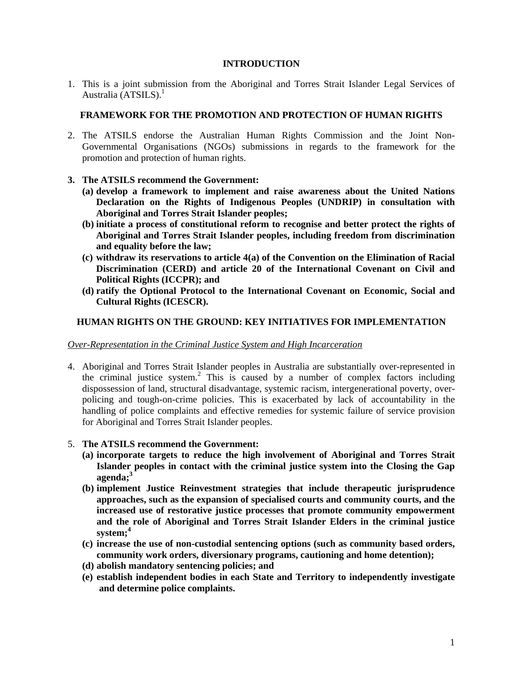## **INTRODUCTION**

1. This is a joint submission from the Aboriginal and Torres Strait Islander Legal Services of Australia (ATSILS). $<sup>1</sup>$ </sup>

## **FRAMEWORK FOR THE PROMOTION AND PROTECTION OF HUMAN RIGHTS**

- 2. The ATSILS endorse the Australian Human Rights Commission and the Joint Non-Governmental Organisations (NGOs) submissions in regards to the framework for the promotion and protection of human rights.
- **3. The ATSILS recommend the Government:** 
	- **(a) develop a framework to implement and raise awareness about the United Nations Declaration on the Rights of Indigenous Peoples (UNDRIP) in consultation with Aboriginal and Torres Strait Islander peoples;**
	- **(b) initiate a process of constitutional reform to recognise and better protect the rights of Aboriginal and Torres Strait Islander peoples, including freedom from discrimination and equality before the law;**
	- **(c) withdraw its reservations to article 4(a) of the Convention on the Elimination of Racial Discrimination (CERD) and article 20 of the International Covenant on Civil and Political Rights (ICCPR); and**
	- **(d) ratify the Optional Protocol to the International Covenant on Economic, Social and Cultural Rights (ICESCR).**

## **HUMAN RIGHTS ON THE GROUND: KEY INITIATIVES FOR IMPLEMENTATION**

### *Over-Representation in the Criminal Justice System and High Incarceration*

4. Aboriginal and Torres Strait Islander peoples in Australia are substantially over-represented in the criminal justice system.<sup>2</sup> This is caused by a number of complex factors including dispossession of land, structural disadvantage, systemic racism, intergenerational poverty, overpolicing and tough-on-crime policies. This is exacerbated by lack of accountability in the handling of police complaints and effective remedies for systemic failure of service provision for Aboriginal and Torres Strait Islander peoples.

### 5. **The ATSILS recommend the Government:**

- **(a) incorporate targets to reduce the high involvement of Aboriginal and Torres Strait Islander peoples in contact with the criminal justice system into the Closing the Gap agenda;<sup>3</sup>**
- **(b) implement Justice Reinvestment strategies that include therapeutic jurisprudence approaches, such as the expansion of specialised courts and community courts, and the increased use of restorative justice processes that promote community empowerment and the role of Aboriginal and Torres Strait Islander Elders in the criminal justice system;<sup>4</sup>**
- **(c) increase the use of non-custodial sentencing options (such as community based orders, community work orders, diversionary programs, cautioning and home detention);**
- **(d) abolish mandatory sentencing policies; and**
- **(e) establish independent bodies in each State and Territory to independently investigate and determine police complaints.**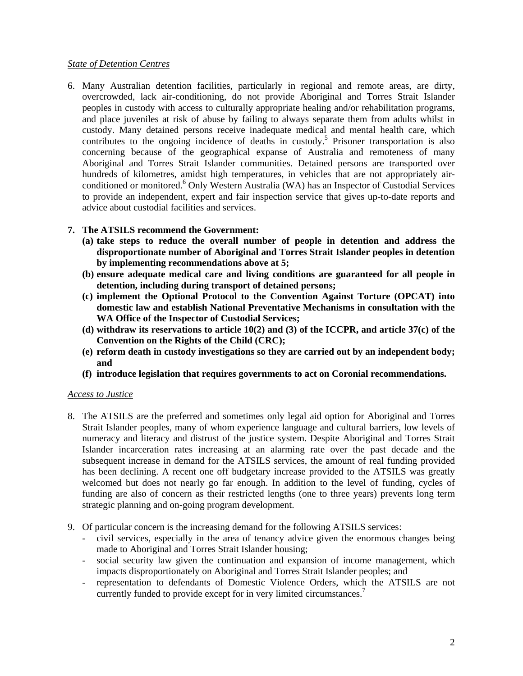## *State of Detention Centres*

6. Many Australian detention facilities, particularly in regional and remote areas, are dirty, overcrowded, lack air-conditioning, do not provide Aboriginal and Torres Strait Islander peoples in custody with access to culturally appropriate healing and/or rehabilitation programs, and place juveniles at risk of abuse by failing to always separate them from adults whilst in custody. Many detained persons receive inadequate medical and mental health care, which contributes to the ongoing incidence of deaths in custody.<sup>5</sup> Prisoner transportation is also concerning because of the geographical expanse of Australia and remoteness of many Aboriginal and Torres Strait Islander communities. Detained persons are transported over hundreds of kilometres, amidst high temperatures, in vehicles that are not appropriately airconditioned or monitored.<sup>6</sup> Only Western Australia (WA) has an Inspector of Custodial Services to provide an independent, expert and fair inspection service that gives up-to-date reports and advice about custodial facilities and services.

# **7. The ATSILS recommend the Government:**

- **(a) take steps to reduce the overall number of people in detention and address the disproportionate number of Aboriginal and Torres Strait Islander peoples in detention by implementing recommendations above at 5;**
- **(b) ensure adequate medical care and living conditions are guaranteed for all people in detention, including during transport of detained persons;**
- **(c) implement the Optional Protocol to the Convention Against Torture (OPCAT) into domestic law and establish National Preventative Mechanisms in consultation with the WA Office of the Inspector of Custodial Services;**
- **(d) withdraw its reservations to article 10(2) and (3) of the ICCPR, and article 37(c) of the Convention on the Rights of the Child (CRC);**
- **(e) reform death in custody investigations so they are carried out by an independent body; and**
- **(f) introduce legislation that requires governments to act on Coronial recommendations.**

### *Access to Justice*

- 8. The ATSILS are the preferred and sometimes only legal aid option for Aboriginal and Torres Strait Islander peoples, many of whom experience language and cultural barriers, low levels of numeracy and literacy and distrust of the justice system. Despite Aboriginal and Torres Strait Islander incarceration rates increasing at an alarming rate over the past decade and the subsequent increase in demand for the ATSILS services, the amount of real funding provided has been declining. A recent one off budgetary increase provided to the ATSILS was greatly welcomed but does not nearly go far enough. In addition to the level of funding, cycles of funding are also of concern as their restricted lengths (one to three years) prevents long term strategic planning and on-going program development.
- 9. Of particular concern is the increasing demand for the following ATSILS services:
	- civil services, especially in the area of tenancy advice given the enormous changes being made to Aboriginal and Torres Strait Islander housing;
	- social security law given the continuation and expansion of income management, which impacts disproportionately on Aboriginal and Torres Strait Islander peoples; and
	- representation to defendants of Domestic Violence Orders, which the ATSILS are not currently funded to provide except for in very limited circumstances.<sup>7</sup>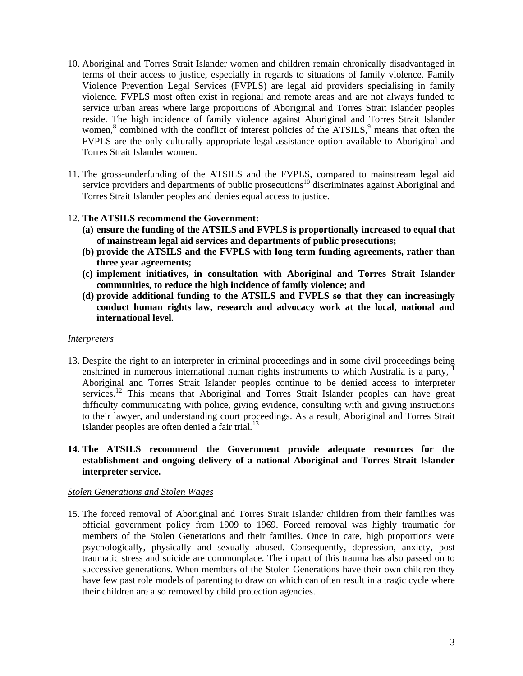- 10. Aboriginal and Torres Strait Islander women and children remain chronically disadvantaged in terms of their access to justice, especially in regards to situations of family violence. Family Violence Prevention Legal Services (FVPLS) are legal aid providers specialising in family violence. FVPLS most often exist in regional and remote areas and are not always funded to service urban areas where large proportions of Aboriginal and Torres Strait Islander peoples reside. The high incidence of family violence against Aboriginal and Torres Strait Islander women,<sup>8</sup> combined with the conflict of interest policies of the ATSILS,<sup>9</sup> means that often the FVPLS are the only culturally appropriate legal assistance option available to Aboriginal and Torres Strait Islander women.
- 11. The gross-underfunding of the ATSILS and the FVPLS, compared to mainstream legal aid service providers and departments of public prosecutions<sup>10</sup> discriminates against Aboriginal and Torres Strait Islander peoples and denies equal access to justice.

## 12. **The ATSILS recommend the Government:**

- **(a) ensure the funding of the ATSILS and FVPLS is proportionally increased to equal that of mainstream legal aid services and departments of public prosecutions;**
- **(b) provide the ATSILS and the FVPLS with long term funding agreements, rather than three year agreements;**
- **(c) implement initiatives, in consultation with Aboriginal and Torres Strait Islander communities, to reduce the high incidence of family violence; and**
- **(d) provide additional funding to the ATSILS and FVPLS so that they can increasingly conduct human rights law, research and advocacy work at the local, national and international level.**

#### *Interpreters*

13. Despite the right to an interpreter in criminal proceedings and in some civil proceedings being enshrined in numerous international human rights instruments to which Australia is a party,<sup>11</sup> Aboriginal and Torres Strait Islander peoples continue to be denied access to interpreter services.<sup>12</sup> This means that Aboriginal and Torres Strait Islander peoples can have great difficulty communicating with police, giving evidence, consulting with and giving instructions to their lawyer, and understanding court proceedings. As a result, Aboriginal and Torres Strait Islander peoples are often denied a fair trial.<sup>13</sup>

## **14. The ATSILS recommend the Government provide adequate resources for the establishment and ongoing delivery of a national Aboriginal and Torres Strait Islander interpreter service.**

### *Stolen Generations and Stolen Wages*

15. The forced removal of Aboriginal and Torres Strait Islander children from their families was official government policy from 1909 to 1969. Forced removal was highly traumatic for members of the Stolen Generations and their families. Once in care, high proportions were psychologically, physically and sexually abused. Consequently, depression, anxiety, post traumatic stress and suicide are commonplace. The impact of this trauma has also passed on to successive generations. When members of the Stolen Generations have their own children they have few past role models of parenting to draw on which can often result in a tragic cycle where their children are also removed by child protection agencies.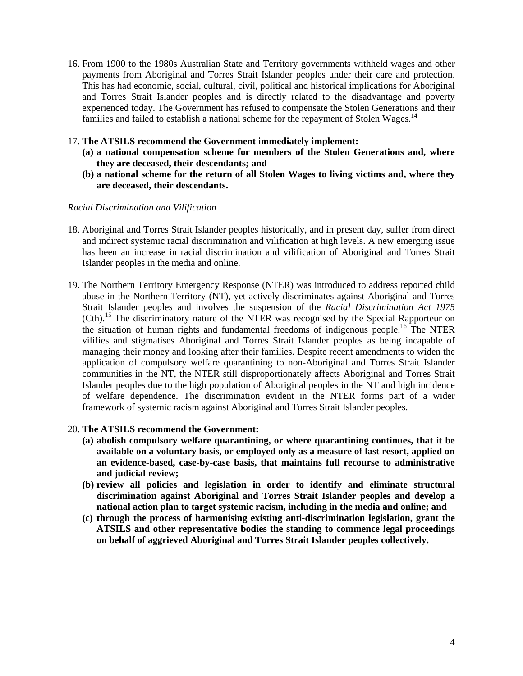- 16. From 1900 to the 1980s Australian State and Territory governments withheld wages and other payments from Aboriginal and Torres Strait Islander peoples under their care and protection. This has had economic, social, cultural, civil, political and historical implications for Aboriginal and Torres Strait Islander peoples and is directly related to the disadvantage and poverty experienced today. The Government has refused to compensate the Stolen Generations and their families and failed to establish a national scheme for the repayment of Stolen Wages.<sup>14</sup>
- 17. **The ATSILS recommend the Government immediately implement:**
	- **(a) a national compensation scheme for members of the Stolen Generations and, where they are deceased, their descendants; and**
	- **(b) a national scheme for the return of all Stolen Wages to living victims and, where they are deceased, their descendants.**

#### *Racial Discrimination and Vilification*

- 18. Aboriginal and Torres Strait Islander peoples historically, and in present day, suffer from direct and indirect systemic racial discrimination and vilification at high levels. A new emerging issue has been an increase in racial discrimination and vilification of Aboriginal and Torres Strait Islander peoples in the media and online.
- 19. The Northern Territory Emergency Response (NTER) was introduced to address reported child abuse in the Northern Territory (NT), yet actively discriminates against Aboriginal and Torres Strait Islander peoples and involves the suspension of the *Racial Discrimination Act 1975*  (Cth).15 The discriminatory nature of the NTER was recognised by the Special Rapporteur on the situation of human rights and fundamental freedoms of indigenous people.16 The NTER vilifies and stigmatises Aboriginal and Torres Strait Islander peoples as being incapable of managing their money and looking after their families. Despite recent amendments to widen the application of compulsory welfare quarantining to non-Aboriginal and Torres Strait Islander communities in the NT, the NTER still disproportionately affects Aboriginal and Torres Strait Islander peoples due to the high population of Aboriginal peoples in the NT and high incidence of welfare dependence. The discrimination evident in the NTER forms part of a wider framework of systemic racism against Aboriginal and Torres Strait Islander peoples.
- 20. **The ATSILS recommend the Government:**
	- **(a) abolish compulsory welfare quarantining, or where quarantining continues, that it be available on a voluntary basis, or employed only as a measure of last resort, applied on an evidence-based, case-by-case basis, that maintains full recourse to administrative and judicial review;**
	- **(b) review all policies and legislation in order to identify and eliminate structural discrimination against Aboriginal and Torres Strait Islander peoples and develop a national action plan to target systemic racism, including in the media and online; and**
	- **(c) through the process of harmonising existing anti-discrimination legislation, grant the ATSILS and other representative bodies the standing to commence legal proceedings on behalf of aggrieved Aboriginal and Torres Strait Islander peoples collectively.**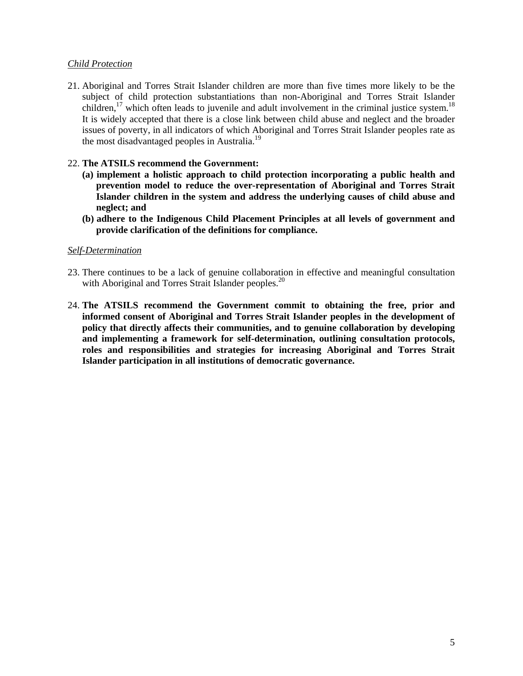## *Child Protection*

21. Aboriginal and Torres Strait Islander children are more than five times more likely to be the subject of child protection substantiations than non-Aboriginal and Torres Strait Islander children,<sup>17</sup> which often leads to juvenile and adult involvement in the criminal justice system.<sup>18</sup> It is widely accepted that there is a close link between child abuse and neglect and the broader issues of poverty, in all indicators of which Aboriginal and Torres Strait Islander peoples rate as the most disadvantaged peoples in Australia.<sup>19</sup>

## 22. **The ATSILS recommend the Government:**

- **(a) implement a holistic approach to child protection incorporating a public health and prevention model to reduce the over-representation of Aboriginal and Torres Strait Islander children in the system and address the underlying causes of child abuse and neglect; and**
- **(b) adhere to the Indigenous Child Placement Principles at all levels of government and provide clarification of the definitions for compliance.**

### *Self-Determination*

- 23. There continues to be a lack of genuine collaboration in effective and meaningful consultation with Aboriginal and Torres Strait Islander peoples.<sup>20</sup>
- 24. **The ATSILS recommend the Government commit to obtaining the free, prior and informed consent of Aboriginal and Torres Strait Islander peoples in the development of policy that directly affects their communities, and to genuine collaboration by developing and implementing a framework for self-determination, outlining consultation protocols, roles and responsibilities and strategies for increasing Aboriginal and Torres Strait Islander participation in all institutions of democratic governance.**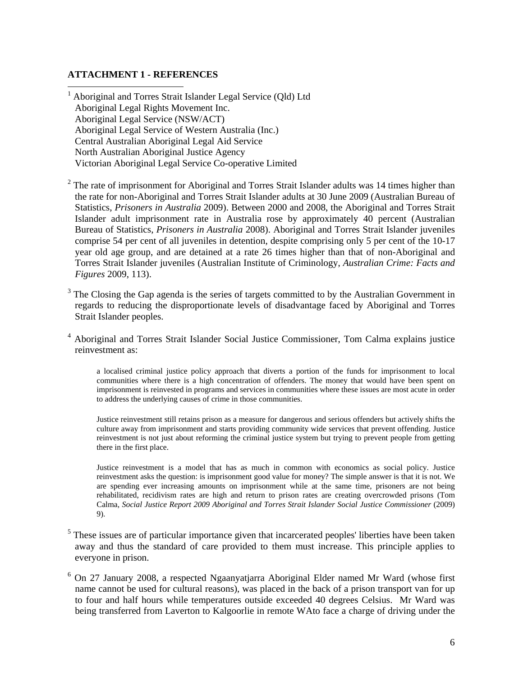# **ATTACHMENT 1 - REFERENCES**

 $\overline{a}$ 

<sup>1</sup> Aboriginal and Torres Strait Islander Legal Service (Qld) Ltd Aboriginal Legal Rights Movement Inc. Aboriginal Legal Service (NSW/ACT) Aboriginal Legal Service of Western Australia (Inc.) Central Australian Aboriginal Legal Aid Service North Australian Aboriginal Justice Agency Victorian Aboriginal Legal Service Co-operative Limited

 $2$  The rate of imprisonment for Aboriginal and Torres Strait Islander adults was 14 times higher than the rate for non-Aboriginal and Torres Strait Islander adults at 30 June 2009 (Australian Bureau of Statistics, *Prisoners in Australia* 2009). Between 2000 and 2008, the Aboriginal and Torres Strait Islander adult imprisonment rate in Australia rose by approximately 40 percent (Australian Bureau of Statistics, *Prisoners in Australia* 2008). Aboriginal and Torres Strait Islander juveniles comprise 54 per cent of all juveniles in detention, despite comprising only 5 per cent of the 10-17 year old age group, and are detained at a rate 26 times higher than that of non-Aboriginal and Torres Strait Islander juveniles (Australian Institute of Criminology, *Australian Crime: Facts and Figures* 2009, 113).

 $3$  The Closing the Gap agenda is the series of targets committed to by the Australian Government in regards to reducing the disproportionate levels of disadvantage faced by Aboriginal and Torres Strait Islander peoples.

<sup>4</sup> Aboriginal and Torres Strait Islander Social Justice Commissioner, Tom Calma explains justice reinvestment as:

a localised criminal justice policy approach that diverts a portion of the funds for imprisonment to local communities where there is a high concentration of offenders. The money that would have been spent on imprisonment is reinvested in programs and services in communities where these issues are most acute in order to address the underlying causes of crime in those communities.

Justice reinvestment still retains prison as a measure for dangerous and serious offenders but actively shifts the culture away from imprisonment and starts providing community wide services that prevent offending. Justice reinvestment is not just about reforming the criminal justice system but trying to prevent people from getting there in the first place.

Justice reinvestment is a model that has as much in common with economics as social policy. Justice reinvestment asks the question: is imprisonment good value for money? The simple answer is that it is not. We are spending ever increasing amounts on imprisonment while at the same time, prisoners are not being rehabilitated, recidivism rates are high and return to prison rates are creating overcrowded prisons (Tom Calma, *Social Justice Report 2009 Aboriginal and Torres Strait Islander Social Justice Commissioner* (2009) 9).

- <sup>5</sup> These issues are of particular importance given that incarcerated peoples' liberties have been taken away and thus the standard of care provided to them must increase. This principle applies to everyone in prison.
- <sup>6</sup> On 27 January 2008, a respected Ngaanyatjarra Aboriginal Elder named Mr Ward (whose first name cannot be used for cultural reasons), was placed in the back of a prison transport van for up to four and half hours while temperatures outside exceeded 40 degrees Celsius. Mr Ward was being transferred from Laverton to Kalgoorlie in remote WAto face a charge of driving under the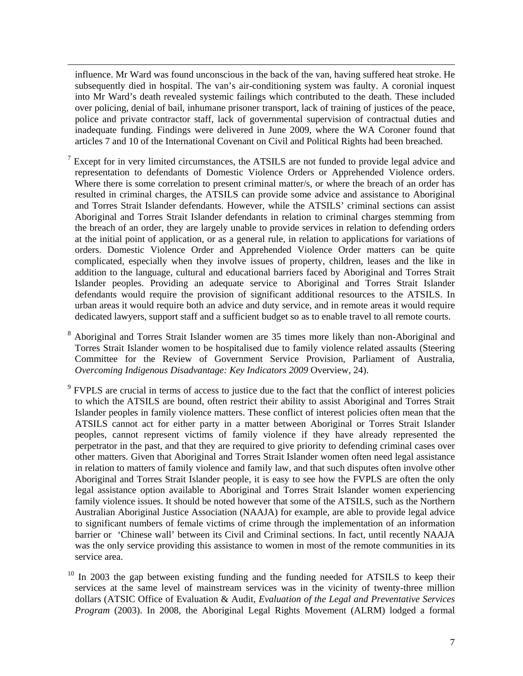influence. Mr Ward was found unconscious in the back of the van, having suffered heat stroke. He subsequently died in hospital. The van's air-conditioning system was faulty. A coronial inquest into Mr Ward's death revealed systemic failings which contributed to the death. These included over policing, denial of bail, inhumane prisoner transport, lack of training of justices of the peace, police and private contractor staff, lack of governmental supervision of contractual duties and inadequate funding. Findings were delivered in June 2009, where the WA Coroner found that articles 7 and 10 of the International Covenant on Civil and Political Rights had been breached.

 $\overline{a}$ 

7 Except for in very limited circumstances, the ATSILS are not funded to provide legal advice and representation to defendants of Domestic Violence Orders or Apprehended Violence orders. Where there is some correlation to present criminal matter/s, or where the breach of an order has resulted in criminal charges, the ATSILS can provide some advice and assistance to Aboriginal and Torres Strait Islander defendants. However, while the ATSILS' criminal sections can assist Aboriginal and Torres Strait Islander defendants in relation to criminal charges stemming from the breach of an order, they are largely unable to provide services in relation to defending orders at the initial point of application, or as a general rule, in relation to applications for variations of orders. Domestic Violence Order and Apprehended Violence Order matters can be quite complicated, especially when they involve issues of property, children, leases and the like in addition to the language, cultural and educational barriers faced by Aboriginal and Torres Strait Islander peoples. Providing an adequate service to Aboriginal and Torres Strait Islander defendants would require the provision of significant additional resources to the ATSILS. In urban areas it would require both an advice and duty service, and in remote areas it would require dedicated lawyers, support staff and a sufficient budget so as to enable travel to all remote courts.

<sup>8</sup> Aboriginal and Torres Strait Islander women are 35 times more likely than non-Aboriginal and Torres Strait Islander women to be hospitalised due to family violence related assaults (Steering Committee for the Review of Government Service Provision, Parliament of Australia, *Overcoming Indigenous Disadvantage: Key Indicators 2009* Overview, 24).

<sup>9</sup> FVPLS are crucial in terms of access to justice due to the fact that the conflict of interest policies to which the ATSILS are bound, often restrict their ability to assist Aboriginal and Torres Strait Islander peoples in family violence matters. These conflict of interest policies often mean that the ATSILS cannot act for either party in a matter between Aboriginal or Torres Strait Islander peoples, cannot represent victims of family violence if they have already represented the perpetrator in the past, and that they are required to give priority to defending criminal cases over other matters. Given that Aboriginal and Torres Strait Islander women often need legal assistance in relation to matters of family violence and family law, and that such disputes often involve other Aboriginal and Torres Strait Islander people, it is easy to see how the FVPLS are often the only legal assistance option available to Aboriginal and Torres Strait Islander women experiencing family violence issues. It should be noted however that some of the ATSILS, such as the Northern Australian Aboriginal Justice Association (NAAJA) for example, are able to provide legal advice to significant numbers of female victims of crime through the implementation of an information barrier or 'Chinese wall' between its Civil and Criminal sections. In fact, until recently NAAJA was the only service providing this assistance to women in most of the remote communities in its service area.

 $10$  In 2003 the gap between existing funding and the funding needed for ATSILS to keep their services at the same level of mainstream services was in the vicinity of twenty-three million dollars (ATSIC Office of Evaluation & Audit, *Evaluation of the Legal and Preventative Services Program* (2003). In 2008, the Aboriginal Legal Rights Movement (ALRM) lodged a formal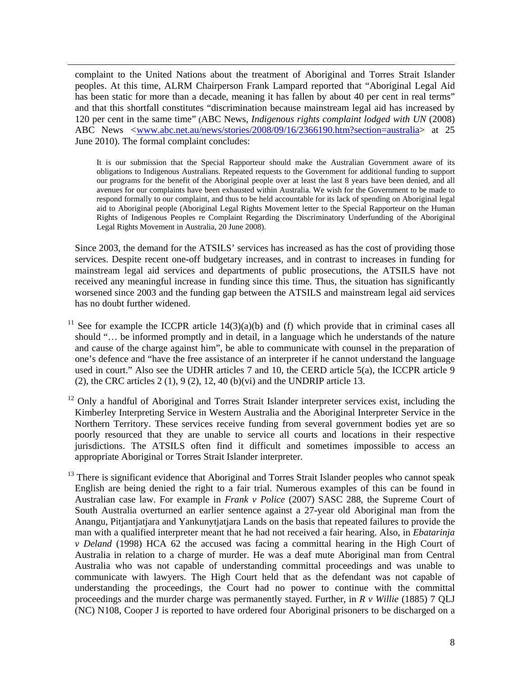complaint to the United Nations about the treatment of Aboriginal and Torres Strait Islander peoples. At this time, ALRM Chairperson Frank Lampard reported that "Aboriginal Legal Aid has been static for more than a decade, meaning it has fallen by about 40 per cent in real terms" and that this shortfall constitutes "discrimination because mainstream legal aid has increased by 120 per cent in the same time" (ABC News, *Indigenous rights complaint lodged with UN* (2008) ABC News *<*www.abc.net.au/news/stories/2008/09/16/2366190.htm?section=australia> at 25 June 2010). The formal complaint concludes:

 $\overline{a}$ 

It is our submission that the Special Rapporteur should make the Australian Government aware of its obligations to Indigenous Australians. Repeated requests to the Government for additional funding to support our programs for the benefit of the Aboriginal people over at least the last 8 years have been denied, and all avenues for our complaints have been exhausted within Australia. We wish for the Government to be made to respond formally to our complaint, and thus to be held accountable for its lack of spending on Aboriginal legal aid to Aboriginal people (Aboriginal Legal Rights Movement letter to the Special Rapporteur on the Human Rights of Indigenous Peoples re Complaint Regarding the Discriminatory Underfunding of the Aboriginal Legal Rights Movement in Australia, 20 June 2008).

Since 2003, the demand for the ATSILS' services has increased as has the cost of providing those services. Despite recent one-off budgetary increases, and in contrast to increases in funding for mainstream legal aid services and departments of public prosecutions, the ATSILS have not received any meaningful increase in funding since this time. Thus, the situation has significantly worsened since 2003 and the funding gap between the ATSILS and mainstream legal aid services has no doubt further widened.

- <sup>11</sup> See for example the ICCPR article  $14(3)(a)(b)$  and (f) which provide that in criminal cases all should "… be informed promptly and in detail, in a language which he understands of the nature and cause of the charge against him", be able to communicate with counsel in the preparation of one's defence and "have the free assistance of an interpreter if he cannot understand the language used in court." Also see the UDHR articles 7 and 10, the CERD article 5(a), the ICCPR article 9 (2), the CRC articles  $2(1)$ ,  $9(2)$ ,  $12$ ,  $40(b)(vi)$  and the UNDRIP article 13.
- <sup>12</sup> Only a handful of Aboriginal and Torres Strait Islander interpreter services exist, including the Kimberley Interpreting Service in Western Australia and the Aboriginal Interpreter Service in the Northern Territory. These services receive funding from several government bodies yet are so poorly resourced that they are unable to service all courts and locations in their respective jurisdictions. The ATSILS often find it difficult and sometimes impossible to access an appropriate Aboriginal or Torres Strait Islander interpreter.
- $<sup>13</sup>$  There is significant evidence that Aboriginal and Torres Strait Islander peoples who cannot speak</sup> English are being denied the right to a fair trial. Numerous examples of this can be found in Australian case law. For example in *Frank v Police* (2007) SASC 288, the Supreme Court of South Australia overturned an earlier sentence against a 27-year old Aboriginal man from the Anangu, Pitjantjatjara and Yankunytjatjara Lands on the basis that repeated failures to provide the man with a qualified interpreter meant that he had not received a fair hearing. Also, in *Ebatarinja v Deland* (1998) HCA 62 the accused was facing a committal hearing in the High Court of Australia in relation to a charge of murder. He was a deaf mute Aboriginal man from Central Australia who was not capable of understanding committal proceedings and was unable to communicate with lawyers. The High Court held that as the defendant was not capable of understanding the proceedings, the Court had no power to continue with the committal proceedings and the murder charge was permanently stayed. Further, in *R v Willie* (1885) 7 QLJ (NC) N108, Cooper J is reported to have ordered four Aboriginal prisoners to be discharged on a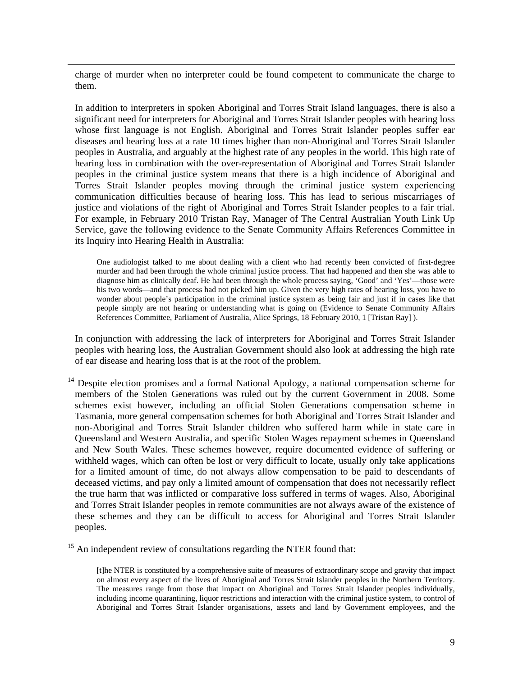charge of murder when no interpreter could be found competent to communicate the charge to them.

 $\overline{a}$ 

In addition to interpreters in spoken Aboriginal and Torres Strait Island languages, there is also a significant need for interpreters for Aboriginal and Torres Strait Islander peoples with hearing loss whose first language is not English. Aboriginal and Torres Strait Islander peoples suffer ear diseases and hearing loss at a rate 10 times higher than non-Aboriginal and Torres Strait Islander peoples in Australia, and arguably at the highest rate of any peoples in the world. This high rate of hearing loss in combination with the over-representation of Aboriginal and Torres Strait Islander peoples in the criminal justice system means that there is a high incidence of Aboriginal and Torres Strait Islander peoples moving through the criminal justice system experiencing communication difficulties because of hearing loss. This has lead to serious miscarriages of justice and violations of the right of Aboriginal and Torres Strait Islander peoples to a fair trial. For example, in February 2010 Tristan Ray, Manager of The Central Australian Youth Link Up Service, gave the following evidence to the Senate Community Affairs References Committee in its Inquiry into Hearing Health in Australia:

One audiologist talked to me about dealing with a client who had recently been convicted of first-degree murder and had been through the whole criminal justice process. That had happened and then she was able to diagnose him as clinically deaf. He had been through the whole process saying, 'Good' and 'Yes'—those were his two words—and that process had not picked him up. Given the very high rates of hearing loss, you have to wonder about people's participation in the criminal justice system as being fair and just if in cases like that people simply are not hearing or understanding what is going on (Evidence to Senate Community Affairs References Committee, Parliament of Australia, Alice Springs, 18 February 2010, 1 [Tristan Ray] ).

In conjunction with addressing the lack of interpreters for Aboriginal and Torres Strait Islander peoples with hearing loss, the Australian Government should also look at addressing the high rate of ear disease and hearing loss that is at the root of the problem.

<sup>14</sup> Despite election promises and a formal National Apology, a national compensation scheme for members of the Stolen Generations was ruled out by the current Government in 2008. Some schemes exist however, including an official Stolen Generations compensation scheme in Tasmania, more general compensation schemes for both Aboriginal and Torres Strait Islander and non-Aboriginal and Torres Strait Islander children who suffered harm while in state care in Queensland and Western Australia, and specific Stolen Wages repayment schemes in Queensland and New South Wales. These schemes however, require documented evidence of suffering or withheld wages, which can often be lost or very difficult to locate, usually only take applications for a limited amount of time, do not always allow compensation to be paid to descendants of deceased victims, and pay only a limited amount of compensation that does not necessarily reflect the true harm that was inflicted or comparative loss suffered in terms of wages. Also, Aboriginal and Torres Strait Islander peoples in remote communities are not always aware of the existence of these schemes and they can be difficult to access for Aboriginal and Torres Strait Islander peoples.

15 An independent review of consultations regarding the NTER found that:

[t]he NTER is constituted by a comprehensive suite of measures of extraordinary scope and gravity that impact on almost every aspect of the lives of Aboriginal and Torres Strait Islander peoples in the Northern Territory. The measures range from those that impact on Aboriginal and Torres Strait Islander peoples individually, including income quarantining, liquor restrictions and interaction with the criminal justice system, to control of Aboriginal and Torres Strait Islander organisations, assets and land by Government employees, and the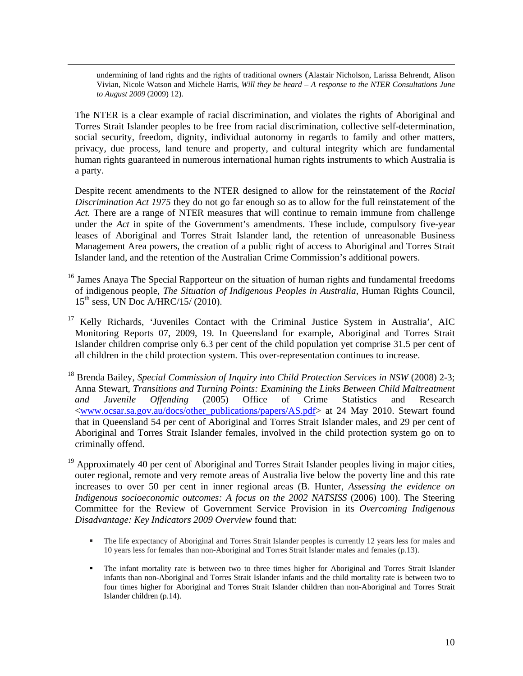undermining of land rights and the rights of traditional owners (Alastair Nicholson, Larissa Behrendt, Alison Vivian, Nicole Watson and Michele Harris, *Will they be heard – A response to the NTER Consultations June to August 2009* (2009) 12).

 $\overline{a}$ 

The NTER is a clear example of racial discrimination, and violates the rights of Aboriginal and Torres Strait Islander peoples to be free from racial discrimination, collective self-determination, social security, freedom, dignity, individual autonomy in regards to family and other matters, privacy, due process, land tenure and property, and cultural integrity which are fundamental human rights guaranteed in numerous international human rights instruments to which Australia is a party.

Despite recent amendments to the NTER designed to allow for the reinstatement of the *Racial Discrimination Act 1975* they do not go far enough so as to allow for the full reinstatement of the Act. There are a range of NTER measures that will continue to remain immune from challenge under the *Act* in spite of the Government's amendments. These include, compulsory five-year leases of Aboriginal and Torres Strait Islander land, the retention of unreasonable Business Management Area powers, the creation of a public right of access to Aboriginal and Torres Strait Islander land, and the retention of the Australian Crime Commission's additional powers.

- <sup>16</sup> James Anaya The Special Rapporteur on the situation of human rights and fundamental freedoms of indigenous people, *The Situation of Indigenous Peoples in Australia*, Human Rights Council,  $15^{th}$  sess, UN Doc A/HRC/15/ (2010).
- <sup>17</sup> Kelly Richards, 'Juveniles Contact with the Criminal Justice System in Australia', AIC Monitoring Reports 07, 2009, 19. In Queensland for example, Aboriginal and Torres Strait Islander children comprise only 6.3 per cent of the child population yet comprise 31.5 per cent of all children in the child protection system. This over-representation continues to increase.
- 18 Brenda Bailey, *Special Commission of Inquiry into Child Protection Services in NSW* (2008) 2-3; Anna Stewart, *Transitions and Turning Points: Examining the Links Between Child Maltreatment and Juvenile Offending* (2005) Office of Crime Statistics and Research <www.ocsar.sa.gov.au/docs/other\_publications/papers/AS.pdf> at 24 May 2010. Stewart found that in Queensland 54 per cent of Aboriginal and Torres Strait Islander males, and 29 per cent of Aboriginal and Torres Strait Islander females, involved in the child protection system go on to criminally offend.

<sup>19</sup> Approximately 40 per cent of Aboriginal and Torres Strait Islander peoples living in major cities, outer regional, remote and very remote areas of Australia live below the poverty line and this rate increases to over 50 per cent in inner regional areas (B. Hunter, *Assessing the evidence on Indigenous socioeconomic outcomes: A focus on the 2002 NATSISS* (2006) 100). The Steering Committee for the Review of Government Service Provision in its *Overcoming Indigenous Disadvantage: Key Indicators 2009 Overview* found that:

- The life expectancy of Aboriginal and Torres Strait Islander peoples is currently 12 years less for males and 10 years less for females than non-Aboriginal and Torres Strait Islander males and females (p.13).
- The infant mortality rate is between two to three times higher for Aboriginal and Torres Strait Islander infants than non-Aboriginal and Torres Strait Islander infants and the child mortality rate is between two to four times higher for Aboriginal and Torres Strait Islander children than non-Aboriginal and Torres Strait Islander children (p.14).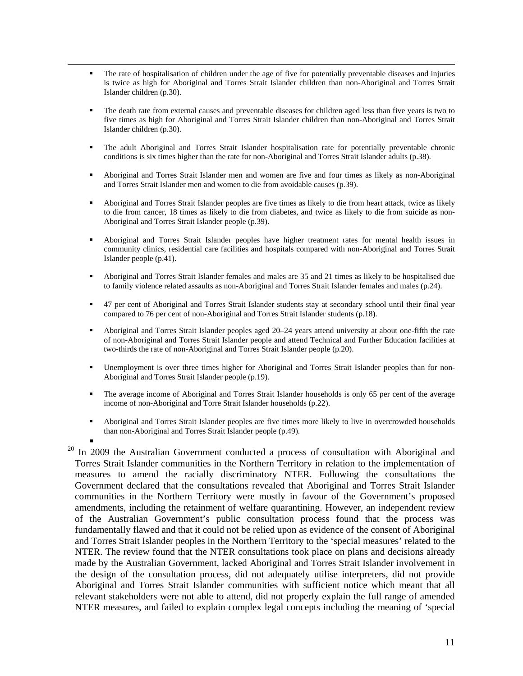- The rate of hospitalisation of children under the age of five for potentially preventable diseases and injuries is twice as high for Aboriginal and Torres Strait Islander children than non-Aboriginal and Torres Strait Islander children (p.30).
- The death rate from external causes and preventable diseases for children aged less than five years is two to five times as high for Aboriginal and Torres Strait Islander children than non-Aboriginal and Torres Strait Islander children (p.30).
- The adult Aboriginal and Torres Strait Islander hospitalisation rate for potentially preventable chronic conditions is six times higher than the rate for non-Aboriginal and Torres Strait Islander adults (p.38).
- Aboriginal and Torres Strait Islander men and women are five and four times as likely as non-Aboriginal and Torres Strait Islander men and women to die from avoidable causes (p.39).
- Aboriginal and Torres Strait Islander peoples are five times as likely to die from heart attack, twice as likely to die from cancer, 18 times as likely to die from diabetes, and twice as likely to die from suicide as non-Aboriginal and Torres Strait Islander people (p.39).
- Aboriginal and Torres Strait Islander peoples have higher treatment rates for mental health issues in community clinics, residential care facilities and hospitals compared with non-Aboriginal and Torres Strait Islander people (p.41).
- Aboriginal and Torres Strait Islander females and males are 35 and 21 times as likely to be hospitalised due to family violence related assaults as non-Aboriginal and Torres Strait Islander females and males (p.24).
- 47 per cent of Aboriginal and Torres Strait Islander students stay at secondary school until their final year compared to 76 per cent of non-Aboriginal and Torres Strait Islander students (p.18).
- Aboriginal and Torres Strait Islander peoples aged 20–24 years attend university at about one-fifth the rate of non-Aboriginal and Torres Strait Islander people and attend Technical and Further Education facilities at two-thirds the rate of non-Aboriginal and Torres Strait Islander people (p.20).
- Unemployment is over three times higher for Aboriginal and Torres Strait Islander peoples than for non-Aboriginal and Torres Strait Islander people (p.19).
- The average income of Aboriginal and Torres Strait Islander households is only 65 per cent of the average income of non-Aboriginal and Torre Strait Islander households (p.22).
- Aboriginal and Torres Strait Islander peoples are five times more likely to live in overcrowded households than non-Aboriginal and Torres Strait Islander people (p.49).

 $\overline{a}$ 

 $20$  In 2009 the Australian Government conducted a process of consultation with Aboriginal and Torres Strait Islander communities in the Northern Territory in relation to the implementation of measures to amend the racially discriminatory NTER. Following the consultations the Government declared that the consultations revealed that Aboriginal and Torres Strait Islander communities in the Northern Territory were mostly in favour of the Government's proposed amendments, including the retainment of welfare quarantining. However, an independent review of the Australian Government's public consultation process found that the process was fundamentally flawed and that it could not be relied upon as evidence of the consent of Aboriginal and Torres Strait Islander peoples in the Northern Territory to the 'special measures' related to the NTER. The review found that the NTER consultations took place on plans and decisions already made by the Australian Government, lacked Aboriginal and Torres Strait Islander involvement in the design of the consultation process, did not adequately utilise interpreters, did not provide Aboriginal and Torres Strait Islander communities with sufficient notice which meant that all relevant stakeholders were not able to attend, did not properly explain the full range of amended NTER measures, and failed to explain complex legal concepts including the meaning of 'special